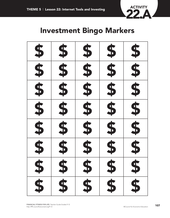

## **Investment Bingo Markers**

| S 3 40 40 40 40     | 8 8 9 9 9 9 9 9 9 | 8 8 9 9 9 9 9 9 9 | 8 8 9 9 9 9 9 9 9 | 5 5 6 6 6 9 6 9 |
|---------------------|-------------------|-------------------|-------------------|-----------------|
|                     |                   |                   |                   |                 |
| \$                  | \$                | \$                | \$                | \$              |
| $\overline{\bm{5}}$ | \$                | \$                | \$                | \$              |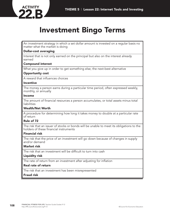

# **Investment Bingo Terms**

An investment strategy in which a set dollar amount is invested on a regular basis no matter what the market is doing

## **Dollar-cost averaging**

Interest that is not only earned on the principal but also on the interest already earned

## **Compound interest**

What you give up in order to get something else; the next-best alternative

## **Opportunity cost**

A reward that influences choices

#### **Incentive**

The money a person earns during a particular time period, often expressed weekly, monthly, or annually

## **Income**

The amount of financial resources a person accumulates, or total assets minus total liabilities

## **Wealth/Net Worth**

A procedure for determining how long it takes money to double at a particular rate of return

## **Rule of 72**

The risk that an issuer of stocks or bonds will be unable to meet its obligations to the holders of these financial instruments

#### **Financial risk**

The risk that the price of an investment will go down because of changes in supply and/or demand

#### **Market risk**

The risk that an investment will be difficult to turn into cash

## **Liquidity risk**

The rate of return from an investment after adjusting for inflation

#### **Real rate of return**

The risk that an investment has been misrepresented

#### **Fraud risk**